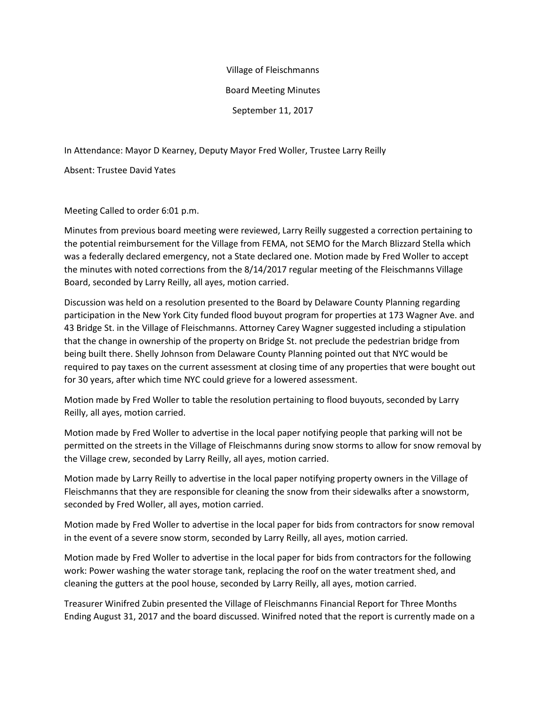## Village of Fleischmanns

## Board Meeting Minutes

September 11, 2017

In Attendance: Mayor D Kearney, Deputy Mayor Fred Woller, Trustee Larry Reilly

Absent: Trustee David Yates

Meeting Called to order 6:01 p.m.

Minutes from previous board meeting were reviewed, Larry Reilly suggested a correction pertaining to the potential reimbursement for the Village from FEMA, not SEMO for the March Blizzard Stella which was a federally declared emergency, not a State declared one. Motion made by Fred Woller to accept the minutes with noted corrections from the 8/14/2017 regular meeting of the Fleischmanns Village Board, seconded by Larry Reilly, all ayes, motion carried.

Discussion was held on a resolution presented to the Board by Delaware County Planning regarding participation in the New York City funded flood buyout program for properties at 173 Wagner Ave. and 43 Bridge St. in the Village of Fleischmanns. Attorney Carey Wagner suggested including a stipulation that the change in ownership of the property on Bridge St. not preclude the pedestrian bridge from being built there. Shelly Johnson from Delaware County Planning pointed out that NYC would be required to pay taxes on the current assessment at closing time of any properties that were bought out for 30 years, after which time NYC could grieve for a lowered assessment.

Motion made by Fred Woller to table the resolution pertaining to flood buyouts, seconded by Larry Reilly, all ayes, motion carried.

Motion made by Fred Woller to advertise in the local paper notifying people that parking will not be permitted on the streets in the Village of Fleischmanns during snow storms to allow for snow removal by the Village crew, seconded by Larry Reilly, all ayes, motion carried.

Motion made by Larry Reilly to advertise in the local paper notifying property owners in the Village of Fleischmanns that they are responsible for cleaning the snow from their sidewalks after a snowstorm, seconded by Fred Woller, all ayes, motion carried.

Motion made by Fred Woller to advertise in the local paper for bids from contractors for snow removal in the event of a severe snow storm, seconded by Larry Reilly, all ayes, motion carried.

Motion made by Fred Woller to advertise in the local paper for bids from contractors for the following work: Power washing the water storage tank, replacing the roof on the water treatment shed, and cleaning the gutters at the pool house, seconded by Larry Reilly, all ayes, motion carried.

Treasurer Winifred Zubin presented the Village of Fleischmanns Financial Report for Three Months Ending August 31, 2017 and the board discussed. Winifred noted that the report is currently made on a